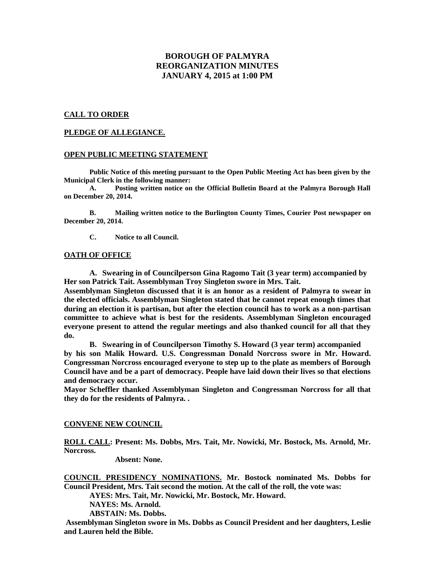# **BOROUGH OF PALMYRA REORGANIZATION MINUTES JANUARY 4, 2015 at 1:00 PM**

### **CALL TO ORDER**

### **PLEDGE OF ALLEGIANCE.**

### **OPEN PUBLIC MEETING STATEMENT**

**Public Notice of this meeting pursuant to the Open Public Meeting Act has been given by the Municipal Clerk in the following manner:**

**A. Posting written notice on the Official Bulletin Board at the Palmyra Borough Hall on December 20, 2014.**

**B. Mailing written notice to the Burlington County Times, Courier Post newspaper on December 20, 2014.**

**C. Notice to all Council.**

#### **OATH OF OFFICE**

**A. Swearing in of Councilperson Gina Ragomo Tait (3 year term) accompanied by Her son Patrick Tait. Assemblyman Troy Singleton swore in Mrs. Tait.**

**Assemblyman Singleton discussed that it is an honor as a resident of Palmyra to swear in the elected officials. Assemblyman Singleton stated that he cannot repeat enough times that during an election it is partisan, but after the election council has to work as a non-partisan committee to achieve what is best for the residents. Assemblyman Singleton encouraged everyone present to attend the regular meetings and also thanked council for all that they do.** 

**B. Swearing in of Councilperson Timothy S. Howard (3 year term) accompanied by his son Malik Howard. U.S. Congressman Donald Norcross swore in Mr. Howard. Congressman Norcross encouraged everyone to step up to the plate as members of Borough Council have and be a part of democracy. People have laid down their lives so that elections and democracy occur.** 

**Mayor Scheffler thanked Assemblyman Singleton and Congressman Norcross for all that they do for the residents of Palmyra. .** 

### **CONVENE NEW COUNCIL**

**ROLL CALL: Present: Ms. Dobbs, Mrs. Tait, Mr. Nowicki, Mr. Bostock, Ms. Arnold, Mr. Norcross.**

**Absent: None.** 

**COUNCIL PRESIDENCY NOMINATIONS. Mr. Bostock nominated Ms. Dobbs for Council President, Mrs. Tait second the motion. At the call of the roll, the vote was: AYES: Mrs. Tait, Mr. Nowicki, Mr. Bostock, Mr. Howard. NAYES: Ms. Arnold. ABSTAIN: Ms. Dobbs.** 

**Assemblyman Singleton swore in Ms. Dobbs as Council President and her daughters, Leslie and Lauren held the Bible.**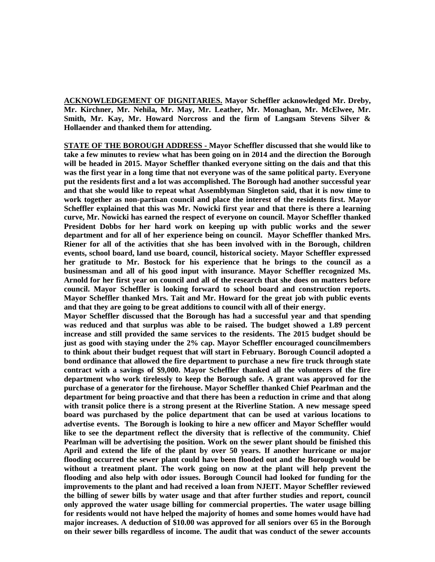**ACKNOWLEDGEMENT OF DIGNITARIES. Mayor Scheffler acknowledged Mr. Dreby, Mr. Kirchner, Mr. Nehila, Mr. May, Mr. Leather, Mr. Monaghan, Mr. McElwee, Mr. Smith, Mr. Kay, Mr. Howard Norcross and the firm of Langsam Stevens Silver & Hollaender and thanked them for attending.**

**STATE OF THE BOROUGH ADDRESS - Mayor Scheffler discussed that she would like to take a few minutes to review what has been going on in 2014 and the direction the Borough will be headed in 2015. Mayor Scheffler thanked everyone sitting on the dais and that this was the first year in a long time that not everyone was of the same political party. Everyone put the residents first and a lot was accomplished. The Borough had another successful year and that she would like to repeat what Assemblyman Singleton said, that it is now time to work together as non-partisan council and place the interest of the residents first. Mayor Scheffler explained that this was Mr. Nowicki first year and that there is there a learning curve, Mr. Nowicki has earned the respect of everyone on council. Mayor Scheffler thanked President Dobbs for her hard work on keeping up with public works and the sewer department and for all of her experience being on council. Mayor Scheffler thanked Mrs. Riener for all of the activities that she has been involved with in the Borough, children events, school board, land use board, council, historical society. Mayor Scheffler expressed her gratitude to Mr. Bostock for his experience that he brings to the council as a businessman and all of his good input with insurance. Mayor Scheffler recognized Ms. Arnold for her first year on council and all of the research that she does on matters before council. Mayor Scheffler is looking forward to school board and construction reports. Mayor Scheffler thanked Mrs. Tait and Mr. Howard for the great job with public events and that they are going to be great additions to council with all of their energy.**

**Mayor Scheffler discussed that the Borough has had a successful year and that spending was reduced and that surplus was able to be raised. The budget showed a 1.89 percent increase and still provided the same services to the residents. The 2015 budget should be just as good with staying under the 2% cap. Mayor Scheffler encouraged councilmembers to think about their budget request that will start in February. Borough Council adopted a bond ordinance that allowed the fire department to purchase a new fire truck through state contract with a savings of \$9,000. Mayor Scheffler thanked all the volunteers of the fire department who work tirelessly to keep the Borough safe. A grant was approved for the purchase of a generator for the firehouse. Mayor Scheffler thanked Chief Pearlman and the department for being proactive and that there has been a reduction in crime and that along with transit police there is a strong present at the Riverline Station. A new message speed board was purchased by the police department that can be used at various locations to advertise events. The Borough is looking to hire a new officer and Mayor Scheffler would like to see the department reflect the diversity that is reflective of the community. Chief Pearlman will be advertising the position. Work on the sewer plant should be finished this April and extend the life of the plant by over 50 years. If another hurricane or major flooding occurred the sewer plant could have been flooded out and the Borough would be without a treatment plant. The work going on now at the plant will help prevent the flooding and also help with odor issues. Borough Council had looked for funding for the improvements to the plant and had received a loan from NJEIT. Mayor Scheffler reviewed the billing of sewer bills by water usage and that after further studies and report, council only approved the water usage billing for commercial properties. The water usage billing for residents would not have helped the majority of homes and some homes would have had major increases. A deduction of \$10.00 was approved for all seniors over 65 in the Borough on their sewer bills regardless of income. The audit that was conduct of the sewer accounts**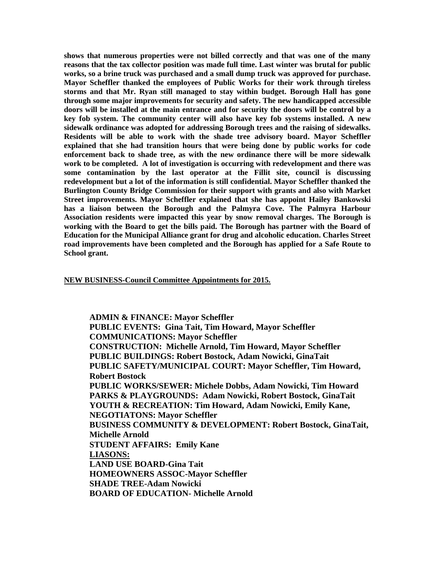**shows that numerous properties were not billed correctly and that was one of the many reasons that the tax collector position was made full time. Last winter was brutal for public works, so a brine truck was purchased and a small dump truck was approved for purchase. Mayor Scheffler thanked the employees of Public Works for their work through tireless storms and that Mr. Ryan still managed to stay within budget. Borough Hall has gone through some major improvements for security and safety. The new handicapped accessible doors will be installed at the main entrance and for security the doors will be control by a key fob system. The community center will also have key fob systems installed. A new sidewalk ordinance was adopted for addressing Borough trees and the raising of sidewalks. Residents will be able to work with the shade tree advisory board. Mayor Scheffler explained that she had transition hours that were being done by public works for code enforcement back to shade tree, as with the new ordinance there will be more sidewalk work to be completed. A lot of investigation is occurring with redevelopment and there was some contamination by the last operator at the Fillit site, council is discussing redevelopment but a lot of the information is still confidential. Mayor Scheffler thanked the Burlington County Bridge Commission for their support with grants and also with Market Street improvements. Mayor Scheffler explained that she has appoint Hailey Bankowski has a liaison between the Borough and the Palmyra Cove. The Palmyra Harbour Association residents were impacted this year by snow removal charges. The Borough is working with the Board to get the bills paid. The Borough has partner with the Board of Education for the Municipal Alliance grant for drug and alcoholic education. Charles Street road improvements have been completed and the Borough has applied for a Safe Route to School grant.**

### **NEW BUSINESS-Council Committee Appointments for 2015.**

**ADMIN & FINANCE: Mayor Scheffler PUBLIC EVENTS: Gina Tait, Tim Howard, Mayor Scheffler COMMUNICATIONS: Mayor Scheffler CONSTRUCTION: Michelle Arnold, Tim Howard, Mayor Scheffler PUBLIC BUILDINGS: Robert Bostock, Adam Nowicki, GinaTait PUBLIC SAFETY/MUNICIPAL COURT: Mayor Scheffler, Tim Howard, Robert Bostock PUBLIC WORKS/SEWER: Michele Dobbs, Adam Nowicki, Tim Howard PARKS & PLAYGROUNDS: Adam Nowicki, Robert Bostock, GinaTait YOUTH & RECREATION: Tim Howard, Adam Nowicki, Emily Kane, NEGOTIATONS: Mayor Scheffler BUSINESS COMMUNITY & DEVELOPMENT: Robert Bostock, GinaTait, Michelle Arnold STUDENT AFFAIRS: Emily Kane LIASONS: LAND USE BOARD-Gina Tait HOMEOWNERS ASSOC-Mayor Scheffler SHADE TREE-Adam Nowicki BOARD OF EDUCATION- Michelle Arnold**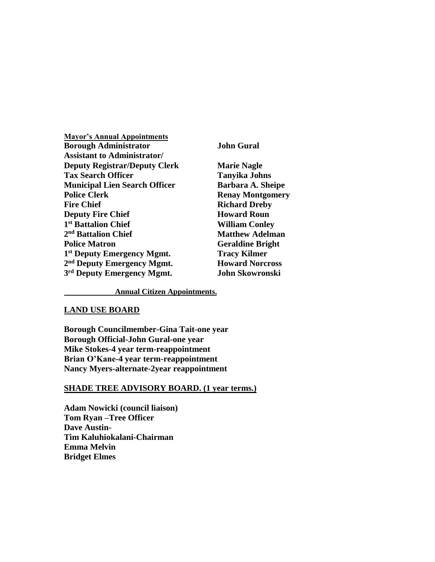| <b>Mayor's Annual Appointments</b>     |
|----------------------------------------|
| <b>Borough Administrator</b>           |
| <b>Assistant to Administrator/</b>     |
| <b>Deputy Registrar/Deputy Clerk</b>   |
| <b>Tax Search Officer</b>              |
| <b>Municipal Lien Search Officer</b>   |
| <b>Police Clerk</b>                    |
| <b>Fire Chief</b>                      |
| <b>Deputy Fire Chief</b>               |
| 1 <sup>st</sup> Battalion Chief        |
| 2 <sup>nd</sup> Battalion Chief        |
| <b>Police Matron</b>                   |
| 1 <sup>st</sup> Deputy Emergency Mgmt. |
| 2 <sup>nd</sup> Deputy Emergency Mgmt. |
| 3rd Deputy Emergency Mgmt.             |

*Bohn Gural* 

**Marie Nagle Tanyika Johns Barbara A. Sheipe Renay Montgomery Richard Dreby Howard Roun William Conley Matthew Adelman Geraldine Bright Tracy Kilmer Howard Norcross**  $John Skowronski$ 

**Annual Citizen Appointments.**

## **LAND USE BOARD**

**Borough Councilmember-Gina Tait-one year Borough Official-John Gural-one year Mike Stokes-4 year term-reappointment Brian O'Kane-4 year term-reappointment Nancy Myers-alternate-2year reappointment**

## **SHADE TREE ADVISORY BOARD. (1 year terms.)**

**Adam Nowicki (council liaison) Tom Ryan –Tree Officer Dave Austin-Tim Kaluhiokalani-Chairman Emma Melvin Bridget Elmes**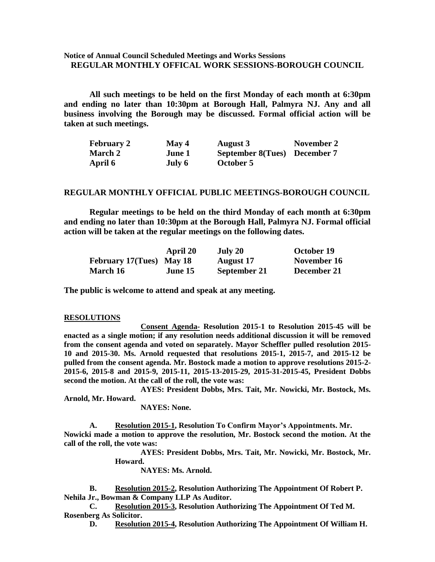## **Notice of Annual Council Scheduled Meetings and Works Sessions REGULAR MONTHLY OFFICAL WORK SESSIONS-BOROUGH COUNCIL**

**All such meetings to be held on the first Monday of each month at 6:30pm and ending no later than 10:30pm at Borough Hall, Palmyra NJ. Any and all business involving the Borough may be discussed. Formal official action will be taken at such meetings.** 

| <b>February 2</b> | May 4  | <b>August 3</b>              | November 2 |
|-------------------|--------|------------------------------|------------|
| <b>March 2</b>    | June 1 | September 8(Tues) December 7 |            |
| April 6           | July 6 | October 5                    |            |

#### **REGULAR MONTHLY OFFICIAL PUBLIC MEETINGS-BOROUGH COUNCIL**

**Regular meetings to be held on the third Monday of each month at 6:30pm and ending no later than 10:30pm at the Borough Hall, Palmyra NJ. Formal official action will be taken at the regular meetings on the following dates.**

|                          | April 20 | July 20          | October 19  |
|--------------------------|----------|------------------|-------------|
| February 17(Tues) May 18 |          | <b>August</b> 17 | November 16 |
| March 16                 | June 15  | September 21     | December 21 |

**The public is welcome to attend and speak at any meeting.**

#### **RESOLUTIONS**

**Consent Agenda- Resolution 2015-1 to Resolution 2015-45 will be enacted as a single motion; if any resolution needs additional discussion it will be removed from the consent agenda and voted on separately. Mayor Scheffler pulled resolution 2015- 10 and 2015-30. Ms. Arnold requested that resolutions 2015-1, 2015-7, and 2015-12 be pulled from the consent agenda. Mr. Bostock made a motion to approve resolutions 2015-2- 2015-6, 2015-8 and 2015-9, 2015-11, 2015-13-2015-29, 2015-31-2015-45, President Dobbs second the motion. At the call of the roll, the vote was:**

**AYES: President Dobbs, Mrs. Tait, Mr. Nowicki, Mr. Bostock, Ms. Arnold, Mr. Howard.**

**NAYES: None.** 

**A. Resolution 2015-1, Resolution To Confirm Mayor's Appointments. Mr. Nowicki made a motion to approve the resolution, Mr. Bostock second the motion. At the call of the roll, the vote was:**

**AYES: President Dobbs, Mrs. Tait, Mr. Nowicki, Mr. Bostock, Mr. Howard.**

**NAYES: Ms. Arnold.**

**B. Resolution 2015-2, Resolution Authorizing The Appointment Of Robert P. Nehila Jr., Bowman & Company LLP As Auditor.**

**C. Resolution 2015-3, Resolution Authorizing The Appointment Of Ted M. Rosenberg As Solicitor.**

**D. Resolution 2015-4, Resolution Authorizing The Appointment Of William H.**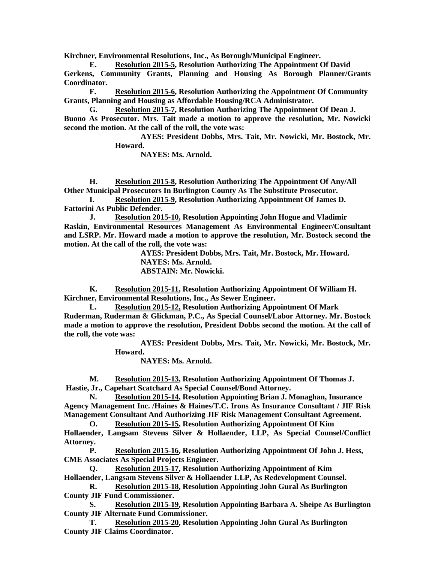**Kirchner, Environmental Resolutions, Inc., As Borough/Municipal Engineer.**

**E. Resolution 2015-5, Resolution Authorizing The Appointment Of David Gerkens, Community Grants, Planning and Housing As Borough Planner/Grants Coordinator.**

**F. Resolution 2015-6, Resolution Authorizing the Appointment Of Community Grants, Planning and Housing as Affordable Housing/RCA Administrator.**

**G. Resolution 2015-7, Resolution Authorizing The Appointment Of Dean J. Buono As Prosecutor. Mrs. Tait made a motion to approve the resolution, Mr. Nowicki second the motion. At the call of the roll, the vote was:**

**AYES: President Dobbs, Mrs. Tait, Mr. Nowicki, Mr. Bostock, Mr. Howard.**

**NAYES: Ms. Arnold.**

**H. Resolution 2015-8, Resolution Authorizing The Appointment Of Any/All Other Municipal Prosecutors In Burlington County As The Substitute Prosecutor.**

**I. Resolution 2015-9, Resolution Authorizing Appointment Of James D. Fattorini As Public Defender.**

**J. Resolution 2015-10, Resolution Appointing John Hogue and Vladimir Raskin, Environmental Resources Management As Environmental Engineer/Consultant and LSRP. Mr. Howard made a motion to approve the resolution, Mr. Bostock second the motion. At the call of the roll, the vote was:**

> **AYES: President Dobbs, Mrs. Tait, Mr. Bostock, Mr. Howard. NAYES: Ms. Arnold. ABSTAIN: Mr. Nowicki.**

**K. Resolution 2015-11, Resolution Authorizing Appointment Of William H. Kirchner, Environmental Resolutions, Inc., As Sewer Engineer.**

**L. Resolution 2015-12, Resolution Authorizing Appointment Of Mark Ruderman, Ruderman & Glickman, P.C., As Special Counsel/Labor Attorney. Mr. Bostock made a motion to approve the resolution, President Dobbs second the motion. At the call of the roll, the vote was:**

> **AYES: President Dobbs, Mrs. Tait, Mr. Nowicki, Mr. Bostock, Mr. Howard.**

> > **NAYES: Ms. Arnold.**

**M. Resolution 2015-13, Resolution Authorizing Appointment Of Thomas J. Hastie, Jr., Capehart Scatchard As Special Counsel/Bond Attorney.**

**N. Resolution 2015-14, Resolution Appointing Brian J. Monaghan, Insurance Agency Management Inc. /Haines & Haines/T.C. Irons As Insurance Consultant / JIF Risk Management Consultant And Authorizing JIF Risk Management Consultant Agreement.**

**O. Resolution 2015-15, Resolution Authorizing Appointment Of Kim Hollaender, Langsam Stevens Silver & Hollaender, LLP, As Special Counsel/Conflict Attorney.**

**P. Resolution 2015-16, Resolution Authorizing Appointment Of John J. Hess, CME Associates As Special Projects Engineer.**

**Q. Resolution 2015-17, Resolution Authorizing Appointment of Kim Hollaender, Langsam Stevens Silver & Hollaender LLP, As Redevelopment Counsel.**

**R. Resolution 2015-18, Resolution Appointing John Gural As Burlington County JIF Fund Commissioner.**

**S. Resolution 2015-19, Resolution Appointing Barbara A. Sheipe As Burlington County JIF Alternate Fund Commissioner.**

**T. Resolution 2015-20, Resolution Appointing John Gural As Burlington County JIF Claims Coordinator.**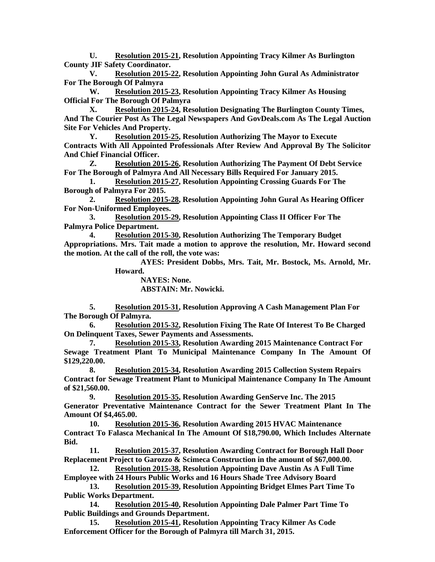**U. Resolution 2015-21, Resolution Appointing Tracy Kilmer As Burlington County JIF Safety Coordinator.**

**V. Resolution 2015-22, Resolution Appointing John Gural As Administrator For The Borough Of Palmyra**

**W. Resolution 2015-23, Resolution Appointing Tracy Kilmer As Housing Official For The Borough Of Palmyra**

**X. Resolution 2015-24, Resolution Designating The Burlington County Times, And The Courier Post As The Legal Newspapers And GovDeals.com As The Legal Auction Site For Vehicles And Property.**

**Y. Resolution 2015-25, Resolution Authorizing The Mayor to Execute Contracts With All Appointed Professionals After Review And Approval By The Solicitor And Chief Financial Officer.**

**Z. Resolution 2015-26, Resolution Authorizing The Payment Of Debt Service For The Borough of Palmyra And All Necessary Bills Required For January 2015.**

**1. Resolution 2015-27, Resolution Appointing Crossing Guards For The Borough of Palmyra For 2015.**

**2. Resolution 2015-28, Resolution Appointing John Gural As Hearing Officer For Non-Uniformed Employees.** 

**3. Resolution 2015-29, Resolution Appointing Class II Officer For The Palmyra Police Department.**

**4. Resolution 2015-30, Resolution Authorizing The Temporary Budget Appropriations. Mrs. Tait made a motion to approve the resolution, Mr. Howard second the motion. At the call of the roll, the vote was:**

**AYES: President Dobbs, Mrs. Tait, Mr. Bostock, Ms. Arnold, Mr. Howard.**

**NAYES: None.**

**ABSTAIN: Mr. Nowicki.** 

**5. Resolution 2015-31, Resolution Approving A Cash Management Plan For The Borough Of Palmyra.**

**6. Resolution 2015-32, Resolution Fixing The Rate Of Interest To Be Charged On Delinquent Taxes, Sewer Payments and Assessments.**

**7. Resolution 2015-33, Resolution Awarding 2015 Maintenance Contract For Sewage Treatment Plant To Municipal Maintenance Company In The Amount Of \$129,220.00.**

**8. Resolution 2015-34, Resolution Awarding 2015 Collection System Repairs Contract for Sewage Treatment Plant to Municipal Maintenance Company In The Amount of \$21,560.00.**

**9. Resolution 2015-35, Resolution Awarding GenServe Inc. The 2015 Generator Preventative Maintenance Contract for the Sewer Treatment Plant In The Amount Of \$4,465.00.**

**10. Resolution 2015-36, Resolution Awarding 2015 HVAC Maintenance Contract To Falasca Mechanical In The Amount Of \$18,790.00, Which Includes Alternate Bid.** 

**11. Resolution 2015-37, Resolution Awarding Contract for Borough Hall Door Replacement Project to Garozzo & Scimeca Construction in the amount of \$67,000.00.**

**12. Resolution 2015-38, Resolution Appointing Dave Austin As A Full Time Employee with 24 Hours Public Works and 16 Hours Shade Tree Advisory Board**

**13. Resolution 2015-39, Resolution Appointing Bridget Elmes Part Time To Public Works Department.**

**14. Resolution 2015-40, Resolution Appointing Dale Palmer Part Time To Public Buildings and Grounds Department.**

**15. Resolution 2015-41, Resolution Appointing Tracy Kilmer As Code Enforcement Officer for the Borough of Palmyra till March 31, 2015.**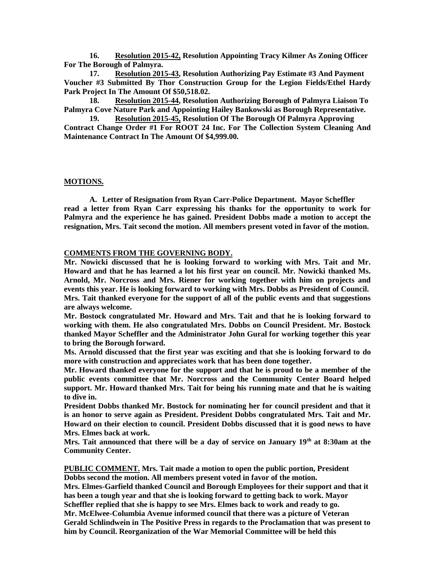**16. Resolution 2015-42, Resolution Appointing Tracy Kilmer As Zoning Officer For The Borough of Palmyra.** 

**17. Resolution 2015-43, Resolution Authorizing Pay Estimate #3 And Payment Voucher #3 Submitted By Thor Construction Group for the Legion Fields/Ethel Hardy Park Project In The Amount Of \$50,518.02.**

**18. Resolution 2015-44, Resolution Authorizing Borough of Palmyra Liaison To Palmyra Cove Nature Park and Appointing Hailey Bankowski as Borough Representative.**

**19. Resolution 2015-45, Resolution Of The Borough Of Palmyra Approving Contract Change Order #1 For ROOT 24 Inc. For The Collection System Cleaning And Maintenance Contract In The Amount Of \$4,999.00.**

#### **MOTIONS.**

**A. Letter of Resignation from Ryan Carr-Police Department. Mayor Scheffler read a letter from Ryan Carr expressing his thanks for the opportunity to work for Palmyra and the experience he has gained. President Dobbs made a motion to accept the resignation, Mrs. Tait second the motion. All members present voted in favor of the motion.** 

## **COMMENTS FROM THE GOVERNING BODY.**

**Mr. Nowicki discussed that he is looking forward to working with Mrs. Tait and Mr. Howard and that he has learned a lot his first year on council. Mr. Nowicki thanked Ms. Arnold, Mr. Norcross and Mrs. Riener for working together with him on projects and events this year. He is looking forward to working with Mrs. Dobbs as President of Council. Mrs. Tait thanked everyone for the support of all of the public events and that suggestions are always welcome.**

**Mr. Bostock congratulated Mr. Howard and Mrs. Tait and that he is looking forward to working with them. He also congratulated Mrs. Dobbs on Council President. Mr. Bostock thanked Mayor Scheffler and the Administrator John Gural for working together this year to bring the Borough forward.** 

**Ms. Arnold discussed that the first year was exciting and that she is looking forward to do more with construction and appreciates work that has been done together.** 

**Mr. Howard thanked everyone for the support and that he is proud to be a member of the public events committee that Mr. Norcross and the Community Center Board helped support. Mr. Howard thanked Mrs. Tait for being his running mate and that he is waiting to dive in.** 

**President Dobbs thanked Mr. Bostock for nominating her for council president and that it is an honor to serve again as President. President Dobbs congratulated Mrs. Tait and Mr. Howard on their election to council. President Dobbs discussed that it is good news to have Mrs. Elmes back at work.** 

**Mrs. Tait announced that there will be a day of service on January 19th at 8:30am at the Community Center.** 

**PUBLIC COMMENT. Mrs. Tait made a motion to open the public portion, President Dobbs second the motion. All members present voted in favor of the motion. Mrs. Elmes-Garfield thanked Council and Borough Employees for their support and that it has been a tough year and that she is looking forward to getting back to work. Mayor Scheffler replied that she is happy to see Mrs. Elmes back to work and ready to go. Mr. McElwee-Columbia Avenue informed council that there was a picture of Veteran Gerald Schlindwein in The Positive Press in regards to the Proclamation that was present to him by Council. Reorganization of the War Memorial Committee will be held this**